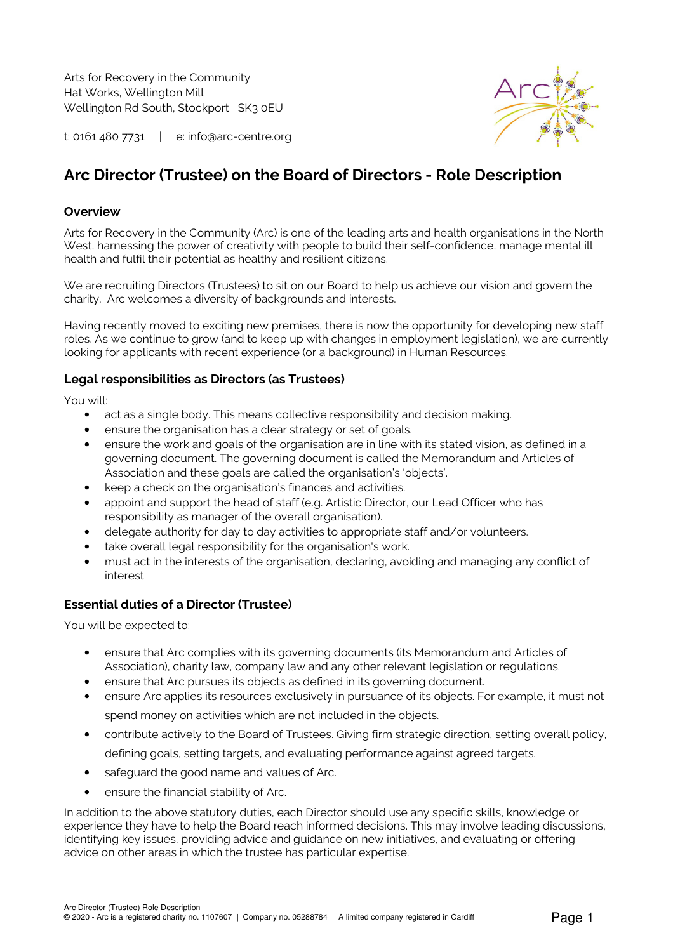

t: 0161 480 7731 | e: info@arc-centre.org

# **Arc Director (Trustee) on the Board of Directors - Role Description**

## **Overview**

Arts for Recovery in the Community (Arc) is one of the leading arts and health organisations in the North West, harnessing the power of creativity with people to build their self-confidence, manage mental ill health and fulfil their potential as healthy and resilient citizens.

We are recruiting Directors (Trustees) to sit on our Board to help us achieve our vision and govern the charity. Arc welcomes a diversity of backgrounds and interests.

Having recently moved to exciting new premises, there is now the opportunity for developing new staff roles. As we continue to grow (and to keep up with changes in employment legislation), we are currently looking for applicants with recent experience (or a background) in Human Resources.

## **Legal responsibilities as Directors (as Trustees)**

You will:

- act as a single body. This means collective responsibility and decision making.
- ensure the organisation has a clear strategy or set of goals.
- ensure the work and goals of the organisation are in line with its stated vision, as defined in a governing document. The governing document is called the Memorandum and Articles of Association and these goals are called the organisation's 'objects'.
- keep a check on the organisation's finances and activities.
- appoint and support the head of staff (e.g. Artistic Director, our Lead Officer who has responsibility as manager of the overall organisation).
- delegate authority for day to day activities to appropriate staff and/or volunteers.
- take overall legal responsibility for the organisation's work.
- must act in the interests of the organisation, declaring, avoiding and managing any conflict of interest

# **Essential duties of a Director (Trustee)**

You will be expected to:

- ensure that Arc complies with its governing documents (its Memorandum and Articles of Association), charity law, company law and any other relevant legislation or regulations.
- ensure that Arc pursues its objects as defined in its governing document.
- ensure Arc applies its resources exclusively in pursuance of its objects. For example, it must not spend money on activities which are not included in the objects.
- contribute actively to the Board of Trustees. Giving firm strategic direction, setting overall policy, defining goals, setting targets, and evaluating performance against agreed targets.
- safeguard the good name and values of Arc.
- ensure the financial stability of Arc.

In addition to the above statutory duties, each Director should use any specific skills, knowledge or experience they have to help the Board reach informed decisions. This may involve leading discussions, identifying key issues, providing advice and guidance on new initiatives, and evaluating or offering advice on other areas in which the trustee has particular expertise.